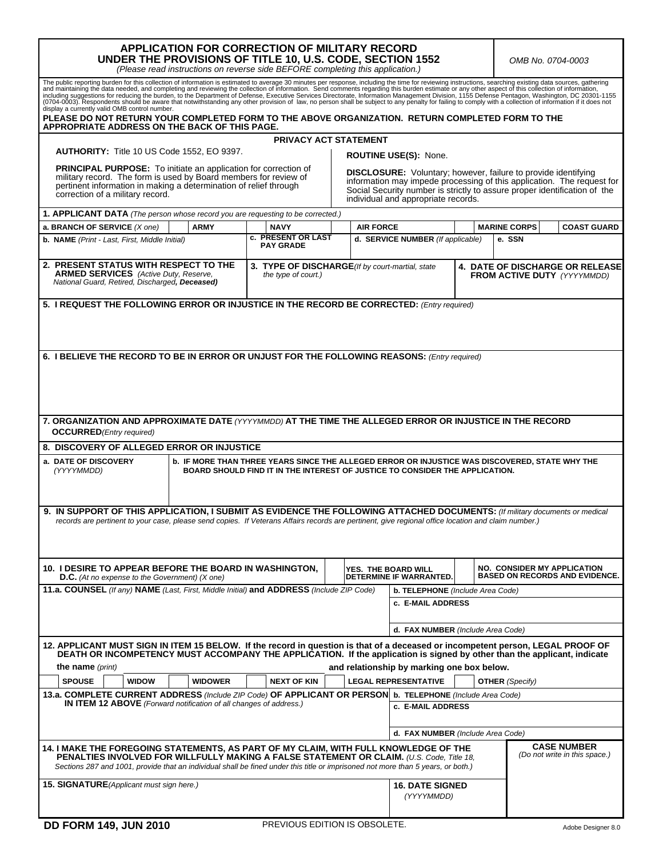| APPLICATION FOR CORRECTION OF MILITARY RECORD<br>UNDER THE PROVISIONS OF TITLE 10, U.S. CODE, SECTION 1552<br><i>OMB No. 0704-0003</i><br>(Please read instructions on reverse side BEFORE completing this application.)                                                                                                                                                                                                                                                                                                                                                                                                                                                                                                                                                                                      |                |                                                                                                                                |                                         |                            |                                            |                                                                              |                                    |                                       |  |
|---------------------------------------------------------------------------------------------------------------------------------------------------------------------------------------------------------------------------------------------------------------------------------------------------------------------------------------------------------------------------------------------------------------------------------------------------------------------------------------------------------------------------------------------------------------------------------------------------------------------------------------------------------------------------------------------------------------------------------------------------------------------------------------------------------------|----------------|--------------------------------------------------------------------------------------------------------------------------------|-----------------------------------------|----------------------------|--------------------------------------------|------------------------------------------------------------------------------|------------------------------------|---------------------------------------|--|
| The public reporting burden for this collection of information is estimated to average 30 minutes per response, including the time for reviewing instructions, searching existing data sources, gathering<br>and maintaining the data needed, and completing and reviewing the collection of information. Send comments regarding this burden estimate or any other aspect of this collection of information, including suggestions for red<br>(0704-0003). Respondents should be aware that notwithstanding any other provision of law, no person shall be subject to any penalty for failing to comply with a collection of information if it does not<br>display a currently valid OMB control number.<br>PLEASE DO NOT RETURN YOUR COMPLETED FORM TO THE ABOVE ORGANIZATION. RETURN COMPLETED FORM TO THE |                |                                                                                                                                |                                         |                            |                                            |                                                                              |                                    |                                       |  |
| APPROPRIATE ADDRESS ON THE BACK OF THIS PAGE.                                                                                                                                                                                                                                                                                                                                                                                                                                                                                                                                                                                                                                                                                                                                                                 |                |                                                                                                                                |                                         |                            |                                            |                                                                              |                                    |                                       |  |
| <b>PRIVACY ACT STATEMENT</b><br>AUTHORITY: Title 10 US Code 1552, EO 9397.<br>ROUTINE USE(S): None.                                                                                                                                                                                                                                                                                                                                                                                                                                                                                                                                                                                                                                                                                                           |                |                                                                                                                                |                                         |                            |                                            |                                                                              |                                    |                                       |  |
| <b>PRINCIPAL PURPOSE:</b> To initiate an application for correction of<br><b>DISCLOSURE:</b> Voluntary; however, failure to provide identifying<br>military record. The form is used by Board members for review of<br>information may impede processing of this application. The request for<br>pertinent information in making a determination of relief through<br>Social Security number is strictly to assure proper identification of the<br>correction of a military record.<br>individual and appropriate records.                                                                                                                                                                                                                                                                                    |                |                                                                                                                                |                                         |                            |                                            |                                                                              |                                    |                                       |  |
| 1. APPLICANT DATA (The person whose record you are requesting to be corrected.)                                                                                                                                                                                                                                                                                                                                                                                                                                                                                                                                                                                                                                                                                                                               |                |                                                                                                                                |                                         |                            |                                            |                                                                              |                                    |                                       |  |
| a. BRANCH OF SERVICE (X one)                                                                                                                                                                                                                                                                                                                                                                                                                                                                                                                                                                                                                                                                                                                                                                                  | <b>ARMY</b>    | <b>NAVY</b><br>c. PRESENT OR LAST                                                                                              |                                         | <b>AIR FORCE</b>           |                                            |                                                                              | <b>MARINE CORPS</b>                | <b>COAST GUARD</b>                    |  |
| b. NAME (Print - Last, First, Middle Initial)                                                                                                                                                                                                                                                                                                                                                                                                                                                                                                                                                                                                                                                                                                                                                                 |                | <b>PAY GRADE</b>                                                                                                               |                                         |                            | d. SERVICE NUMBER (If applicable)          |                                                                              | e. SSN                             |                                       |  |
| 2. PRESENT STATUS WITH RESPECT TO THE<br><b>ARMED SERVICES</b> (Active Duty, Reserve,<br>National Guard, Retired, Discharged, Deceased)                                                                                                                                                                                                                                                                                                                                                                                                                                                                                                                                                                                                                                                                       |                | 3. TYPE OF DISCHARGE(If by court-martial, state<br>the type of court.)                                                         |                                         |                            |                                            | <b>4. DATE OF DISCHARGE OR RELEASE</b><br><b>FROM ACTIVE DUTY</b> (YYYYMMDD) |                                    |                                       |  |
| 5. I REQUEST THE FOLLOWING ERROR OR INJUSTICE IN THE RECORD BE CORRECTED: (Entry required)                                                                                                                                                                                                                                                                                                                                                                                                                                                                                                                                                                                                                                                                                                                    |                |                                                                                                                                |                                         |                            |                                            |                                                                              |                                    |                                       |  |
| 6. I BELIEVE THE RECORD TO BE IN ERROR OR UNJUST FOR THE FOLLOWING REASONS: (Entry required)                                                                                                                                                                                                                                                                                                                                                                                                                                                                                                                                                                                                                                                                                                                  |                |                                                                                                                                |                                         |                            |                                            |                                                                              |                                    |                                       |  |
| 7. ORGANIZATION AND APPROXIMATE DATE (YYYYMMDD) AT THE TIME THE ALLEGED ERROR OR INJUSTICE IN THE RECORD<br><b>OCCURRED</b> (Entry required)                                                                                                                                                                                                                                                                                                                                                                                                                                                                                                                                                                                                                                                                  |                |                                                                                                                                |                                         |                            |                                            |                                                                              |                                    |                                       |  |
| 8. DISCOVERY OF ALLEGED ERROR OR INJUSTICE                                                                                                                                                                                                                                                                                                                                                                                                                                                                                                                                                                                                                                                                                                                                                                    |                |                                                                                                                                |                                         |                            |                                            |                                                                              |                                    |                                       |  |
| a. DATE OF DISCOVERY<br><b>b. IF MORE THAN THREE YEARS SINCE THE ALLEGED ERROR OR INJUSTICE WAS DISCOVERED, STATE WHY THE</b><br>(YYYYMMDD)<br>BOARD SHOULD FIND IT IN THE INTEREST OF JUSTICE TO CONSIDER THE APPLICATION.                                                                                                                                                                                                                                                                                                                                                                                                                                                                                                                                                                                   |                |                                                                                                                                |                                         |                            |                                            |                                                                              |                                    |                                       |  |
| 9. IN SUPPORT OF THIS APPLICATION, I SUBMIT AS EVIDENCE THE FOLLOWING ATTACHED DOCUMENTS: (If military documents or medical<br>records are pertinent to your case, please send copies. If Veterans Affairs records are pertinent, give regional office location and claim number.)                                                                                                                                                                                                                                                                                                                                                                                                                                                                                                                            |                |                                                                                                                                |                                         |                            |                                            |                                                                              |                                    |                                       |  |
| 10. I DESIRE TO APPEAR BEFORE THE BOARD IN WASHINGTON,<br><b>D.C.</b> (At no expense to the Government) ( $X$ one)                                                                                                                                                                                                                                                                                                                                                                                                                                                                                                                                                                                                                                                                                            |                |                                                                                                                                |                                         | <b>YES. THE BOARD WILL</b> | DETERMINE IF WARRANTED.                    |                                                                              | <b>NO. CONSIDER MY APPLICATION</b> | <b>BASED ON RECORDS AND EVIDENCE.</b> |  |
| 11.a. COUNSEL (If any) NAME (Last. First. Middle Initial) and ADDRESS (Include ZIP Code)                                                                                                                                                                                                                                                                                                                                                                                                                                                                                                                                                                                                                                                                                                                      |                |                                                                                                                                | <b>b. TELEPHONE</b> (Include Area Code) |                            |                                            |                                                                              |                                    |                                       |  |
|                                                                                                                                                                                                                                                                                                                                                                                                                                                                                                                                                                                                                                                                                                                                                                                                               |                |                                                                                                                                |                                         |                            | c. E-MAIL ADDRESS                          |                                                                              |                                    |                                       |  |
|                                                                                                                                                                                                                                                                                                                                                                                                                                                                                                                                                                                                                                                                                                                                                                                                               |                |                                                                                                                                |                                         |                            | d. FAX NUMBER (Include Area Code)          |                                                                              |                                    |                                       |  |
| 12. APPLICANT MUST SIGN IN ITEM 15 BELOW. If the record in question is that of a deceased or incompetent person, LEGAL PROOF OF<br>DEATH OR INCOMPETENCY MUST ACCOMPANY THE APPLICATION. If the application is signed by other than the applicant, indicate                                                                                                                                                                                                                                                                                                                                                                                                                                                                                                                                                   |                |                                                                                                                                |                                         |                            |                                            |                                                                              |                                    |                                       |  |
| the name (print)                                                                                                                                                                                                                                                                                                                                                                                                                                                                                                                                                                                                                                                                                                                                                                                              |                |                                                                                                                                |                                         |                            | and relationship by marking one box below. |                                                                              |                                    |                                       |  |
| <b>SPOUSE</b><br><b>WIDOW</b>                                                                                                                                                                                                                                                                                                                                                                                                                                                                                                                                                                                                                                                                                                                                                                                 | <b>WIDOWER</b> | <b>NEXT OF KIN</b>                                                                                                             |                                         |                            | <b>LEGAL REPRESENTATIVE</b>                |                                                                              | <b>OTHER</b> (Specify)             |                                       |  |
| <b>IN ITEM 12 ABOVE</b> (Forward notification of all changes of address.)                                                                                                                                                                                                                                                                                                                                                                                                                                                                                                                                                                                                                                                                                                                                     |                | 13.a. COMPLETE CURRENT ADDRESS (Include ZIP Code) OF APPLICANT OR PERSON b. TELEPHONE (Include Area Code)<br>c. E-MAIL ADDRESS |                                         |                            |                                            |                                                                              |                                    |                                       |  |
|                                                                                                                                                                                                                                                                                                                                                                                                                                                                                                                                                                                                                                                                                                                                                                                                               |                |                                                                                                                                |                                         |                            |                                            |                                                                              |                                    |                                       |  |
|                                                                                                                                                                                                                                                                                                                                                                                                                                                                                                                                                                                                                                                                                                                                                                                                               |                |                                                                                                                                |                                         |                            | d. FAX NUMBER (Include Area Code)          |                                                                              |                                    | <b>CASE NUMBER</b>                    |  |
| 14. I MAKE THE FOREGOING STATEMENTS, AS PART OF MY CLAIM, WITH FULL KNOWLEDGE OF THE<br>(Do not write in this space.)<br><b>PENALTIES INVOLVED FOR WILLFULLY MAKING A FALSE STATEMENT OR CLAIM.</b> (U.S. Code, Title 18,<br>Sections 287 and 1001, provide that an individual shall be fined under this title or imprisoned not more than 5 years, or both.)                                                                                                                                                                                                                                                                                                                                                                                                                                                 |                |                                                                                                                                |                                         |                            |                                            |                                                                              |                                    |                                       |  |
| <b>15. SIGNATURE</b> (Applicant must sign here.)                                                                                                                                                                                                                                                                                                                                                                                                                                                                                                                                                                                                                                                                                                                                                              |                |                                                                                                                                |                                         |                            | <b>16. DATE SIGNED</b><br>(YYYYMMDD)       |                                                                              |                                    |                                       |  |

I